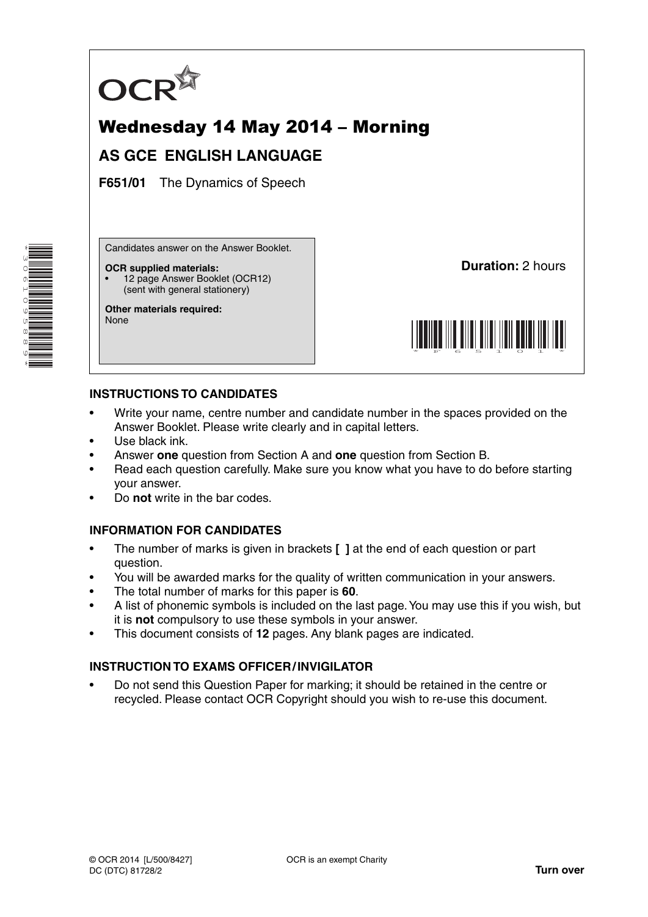

# Wednesday 14 May 2014 – Morning

# **AS GCE ENGLISH LANGUAGE**

**F651/01** The Dynamics of Speech

Candidates answer on the Answer Booklet.

#### **OCR supplied materials:**

• 12 page Answer Booklet (OCR12) (sent with general stationery)

**Other materials required:** None

**Duration:** 2 hours



### **INSTRUCTIONS TO CANDIDATES**

- Write your name, centre number and candidate number in the spaces provided on the Answer Booklet. Please write clearly and in capital letters.
- Use black ink.
- Answer **one** question from Section A and **one** question from Section B.
- Read each question carefully. Make sure you know what you have to do before starting your answer.
- Do **not** write in the bar codes.

#### **INFORMATION FOR CANDIDATES**

- The number of marks is given in brackets **[ ]** at the end of each question or part question.
- You will be awarded marks for the quality of written communication in your answers.
- The total number of marks for this paper is **60**.
- A list of phonemic symbols is included on the last page. You may use this if you wish, but it is **not** compulsory to use these symbols in your answer.
- This document consists of **12** pages. Any blank pages are indicated.

#### **INSTRUCTION TO EXAMS OFFICER / INVIGILATOR**

• Do not send this Question Paper for marking; it should be retained in the centre or recycled. Please contact OCR Copyright should you wish to re-use this document.

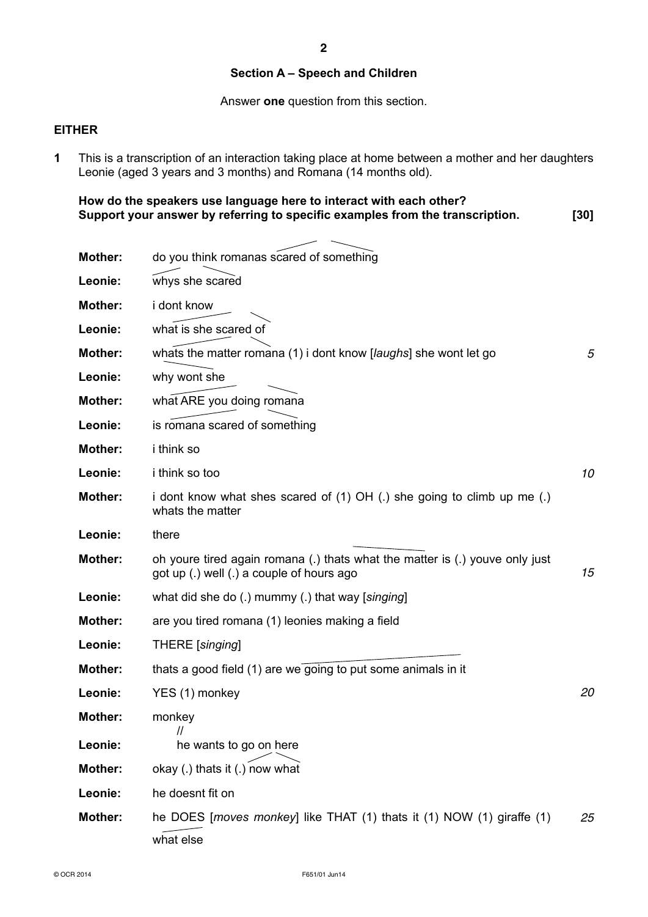#### **Section A – Speech and Children**

Answer **one** question from this section.

#### **EITHER**

**1** This is a transcription of an interaction taking place at home between a mother and her daughters Leonie (aged 3 years and 3 months) and Romana (14 months old).

| How do the speakers use language here to interact with each other?            |        |
|-------------------------------------------------------------------------------|--------|
| Support your answer by referring to specific examples from the transcription. | $[30]$ |

| <b>Mother:</b> | do you think romanas scared of something                                                                                  |    |
|----------------|---------------------------------------------------------------------------------------------------------------------------|----|
| Leonie:        | whys she scared                                                                                                           |    |
| <b>Mother:</b> | i dont know                                                                                                               |    |
| Leonie:        | what is she scared of                                                                                                     |    |
| <b>Mother:</b> | whats the matter romana (1) i dont know [laughs] she wont let go                                                          | 5  |
| Leonie:        | why wont she                                                                                                              |    |
| <b>Mother:</b> | what ARE you doing romana                                                                                                 |    |
| Leonie:        | is romana scared of something                                                                                             |    |
| <b>Mother:</b> | i think so                                                                                                                |    |
| Leonie:        | <i>i</i> think so too                                                                                                     | 10 |
| <b>Mother:</b> | i dont know what shes scared of $(1)$ OH $(.)$ she going to climb up me $(.)$<br>whats the matter                         |    |
| Leonie:        | there                                                                                                                     |    |
| <b>Mother:</b> | oh youre tired again romana (.) thats what the matter is (.) youve only just<br>got up (.) well (.) a couple of hours ago | 15 |
| Leonie:        | what did she do (.) mummy (.) that way [singing]                                                                          |    |
| <b>Mother:</b> | are you tired romana (1) leonies making a field                                                                           |    |
| Leonie:        | <b>THERE</b> [singing]                                                                                                    |    |
| <b>Mother:</b> | thats a good field (1) are we going to put some animals in it                                                             |    |
| Leonie:        | YES (1) monkey                                                                                                            | 20 |
| <b>Mother:</b> | monkey<br>11                                                                                                              |    |
| Leonie:        | he wants to go on here                                                                                                    |    |
| <b>Mother:</b> | okay $(.)$ thats it $(.)$ now what                                                                                        |    |
| Leonie:        | he doesnt fit on                                                                                                          |    |
| <b>Mother:</b> | he DOES [moves monkey] like THAT (1) thats it (1) NOW (1) giraffe (1)                                                     | 25 |
|                | what else                                                                                                                 |    |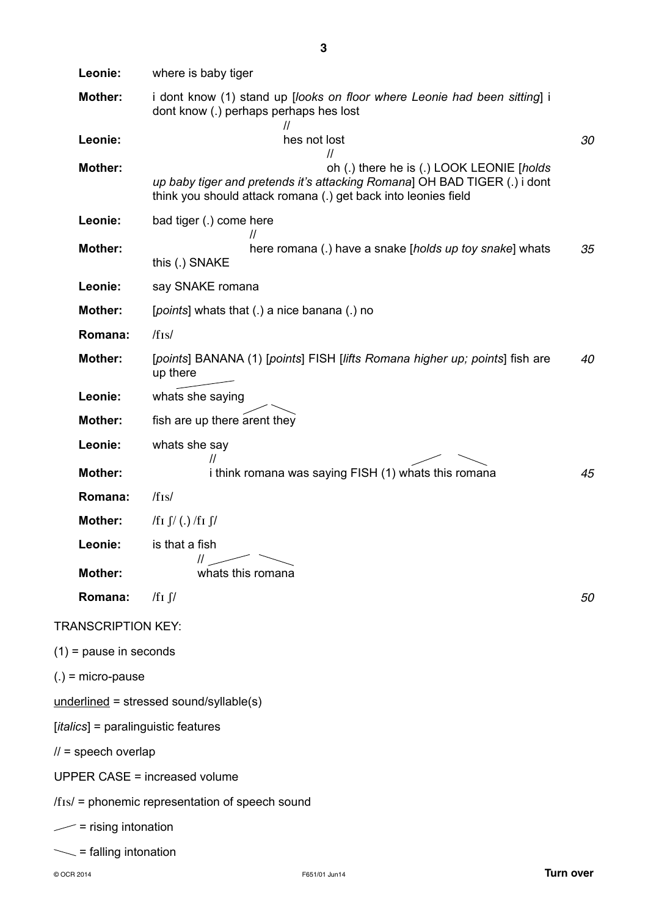| Leonie:                        | where is baby tiger                                                                                                                                                                                           |    |
|--------------------------------|---------------------------------------------------------------------------------------------------------------------------------------------------------------------------------------------------------------|----|
| <b>Mother:</b>                 | i dont know (1) stand up [looks on floor where Leonie had been sitting] i<br>dont know (.) perhaps perhaps hes lost                                                                                           |    |
| Leonie:                        | 11<br>hes not lost                                                                                                                                                                                            | 30 |
| <b>Mother:</b>                 | $^{\prime\prime}$<br>oh (.) there he is (.) LOOK LEONIE [holds<br>up baby tiger and pretends it's attacking Romana] OH BAD TIGER (.) i dont<br>think you should attack romana (.) get back into leonies field |    |
| Leonie:                        | bad tiger (.) come here                                                                                                                                                                                       |    |
| <b>Mother:</b>                 | $^{\prime\prime}$<br>here romana (.) have a snake [holds up toy snake] whats<br>this (.) SNAKE                                                                                                                | 35 |
| Leonie:                        | say SNAKE romana                                                                                                                                                                                              |    |
| <b>Mother:</b>                 | [points] whats that (.) a nice banana (.) no                                                                                                                                                                  |    |
| Romana:                        | $/f_{IS}/$                                                                                                                                                                                                    |    |
| <b>Mother:</b>                 | [points] BANANA (1) [points] FISH [lifts Romana higher up; points] fish are<br>up there                                                                                                                       | 40 |
| Leonie:                        | whats she saying                                                                                                                                                                                              |    |
| <b>Mother:</b>                 | fish are up there arent they                                                                                                                                                                                  |    |
| Leonie:                        | whats she say                                                                                                                                                                                                 |    |
| <b>Mother:</b>                 | i think romana was saying FISH (1) whats this romana                                                                                                                                                          | 45 |
| Romana:                        | $/$ fis $/$                                                                                                                                                                                                   |    |
| <b>Mother:</b>                 | /f <sub>I</sub> $\int$ /(.)/f <sub>I</sub> $\int$                                                                                                                                                             |    |
| Leonie:                        | is that a fish                                                                                                                                                                                                |    |
| Mother:                        | $\mathcal{U}$<br>whats this romana                                                                                                                                                                            |    |
| Romana:                        | $/f_I f$                                                                                                                                                                                                      | 50 |
|                                | <b>TRANSCRIPTION KEY:</b>                                                                                                                                                                                     |    |
| $(1)$ = pause in seconds       |                                                                                                                                                                                                               |    |
| $(.) = micro-pause$            |                                                                                                                                                                                                               |    |
|                                | $underlined$ = stressed sound/syllable(s)                                                                                                                                                                     |    |
|                                | $[talics]$ = paralinguistic features                                                                                                                                                                          |    |
| $\frac{1}{2}$ = speech overlap |                                                                                                                                                                                                               |    |
|                                | <b>UPPER CASE = increased volume</b>                                                                                                                                                                          |    |
|                                | $/f_{IS}$ = phonemic representation of speech sound                                                                                                                                                           |    |
| $\angle$ = rising intonation   |                                                                                                                                                                                                               |    |
| $\sim$ = falling intonation    |                                                                                                                                                                                                               |    |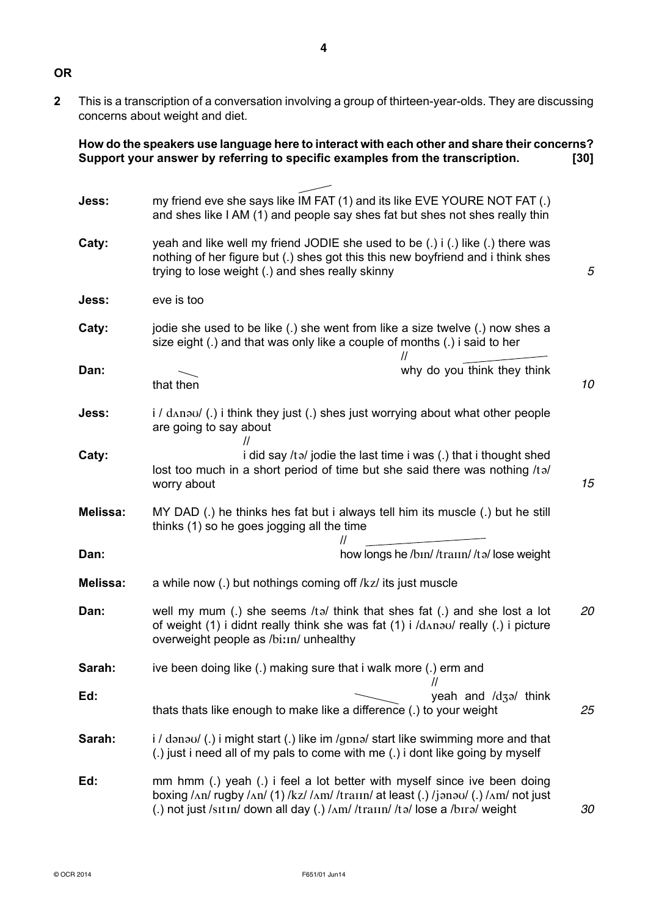- **OR**
- **2** This is a transcription of a conversation involving a group of thirteen-year-olds. They are discussing concerns about weight and diet.

## **How do the speakers use language here to interact with each other and share their concerns? Support your answer by referring to specific examples from the transcription. [30]**

| Jess:    | my friend eve she says like IM FAT (1) and its like EVE YOURE NOT FAT (.)<br>and shes like I AM (1) and people say shes fat but shes not shes really thin                                                                                        |    |
|----------|--------------------------------------------------------------------------------------------------------------------------------------------------------------------------------------------------------------------------------------------------|----|
| Caty:    | yeah and like well my friend JODIE she used to be (.) i (.) like (.) there was<br>nothing of her figure but (.) shes got this this new boyfriend and i think shes<br>trying to lose weight (.) and shes really skinny                            | 5  |
| Jess:    | eve is too                                                                                                                                                                                                                                       |    |
| Caty:    | jodie she used to be like (.) she went from like a size twelve (.) now shes a<br>size eight (.) and that was only like a couple of months (.) i said to her                                                                                      |    |
| Dan:     | why do you think they think<br>that then                                                                                                                                                                                                         | 10 |
| Jess:    | $i/d$ $\Delta$ nau/ (.) i think they just (.) shes just worrying about what other people<br>are going to say about                                                                                                                               |    |
| Caty:    | i did say /ta/ jodie the last time i was (.) that i thought shed<br>lost too much in a short period of time but she said there was nothing /ta/<br>worry about                                                                                   | 15 |
| Melissa: | MY DAD (.) he thinks hes fat but i always tell him its muscle (.) but he still<br>thinks (1) so he goes jogging all the time                                                                                                                     |    |
| Dan:     | how longs he /bɪn/ /traɪɪn/ /tə/ lose weight                                                                                                                                                                                                     |    |
| Melissa: | a while now (.) but nothings coming off /kz/ its just muscle                                                                                                                                                                                     |    |
| Dan:     | well my mum (.) she seems $/t \ge 0$ think that shes fat (.) and she lost a lot<br>of weight (1) i didnt really think she was fat (1) i $/d$ $\Delta$ nau/ really (.) i picture<br>overweight people as /bi:in/ unhealthy                        | 20 |
| Sarah:   | ive been doing like (.) making sure that i walk more (.) erm and                                                                                                                                                                                 |    |
| Ed:      | $\mathcal{U}$<br>yeah and /d3a/ think<br>thats thats like enough to make like a difference (.) to your weight                                                                                                                                    | 25 |
| Sarah:   | i / danau/ (.) i might start (.) like im /gpna/ start like swimming more and that<br>(.) just i need all of my pals to come with me (.) i dont like going by myself                                                                              |    |
| Ed:      | mm hmm (.) yeah (.) i feel a lot better with myself since ive been doing<br>boxing /An/ rugby /An/ (1) /kz/ /Am/ /train/ at least (.) /janau/ (.) /Am/ not just<br>(.) not just /sɪtɪn/ down all day (.) / Am/ /train/ /tə/ lose a /birə/ weight | 30 |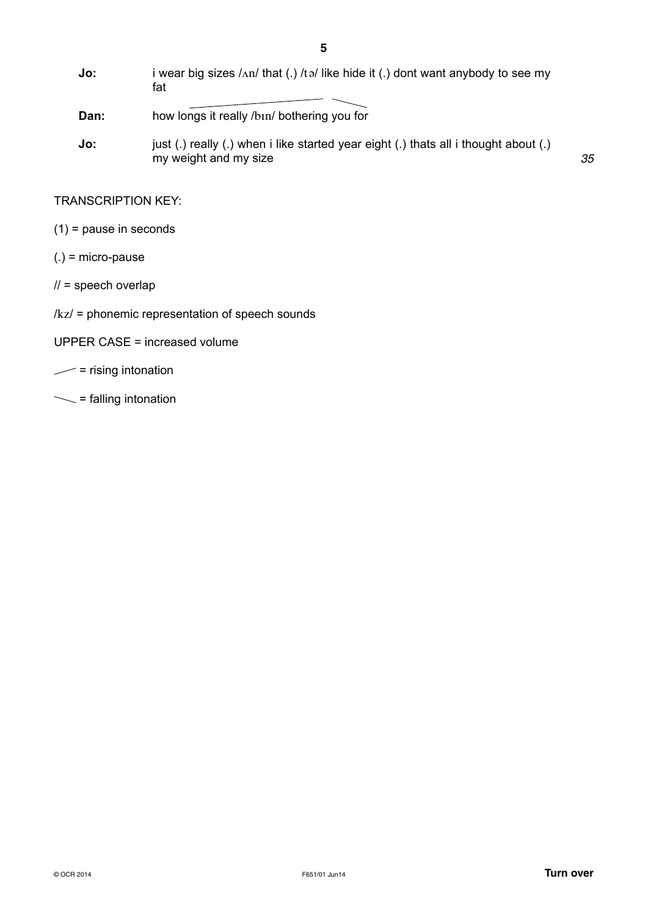- **Jo:** i wear big sizes /ʌn/ that (.) /tə/ like hide it (.) dont want anybody to see my fat
- **Dan:** how longs it really /bin/ bothering you for
- **Jo:** just (.) really (.) when i like started year eight (.) thats all i thought about (.) my weight and my size

TRANSCRIPTION KEY:

- (1) = pause in seconds
- $(.) =$  micro-pause
- $1/1$  = speech overlap
- /kz/ = phonemic representation of speech sounds
- UPPER CASE = increased volume
- $=$  rising intonation
- $\sim$  = falling intonation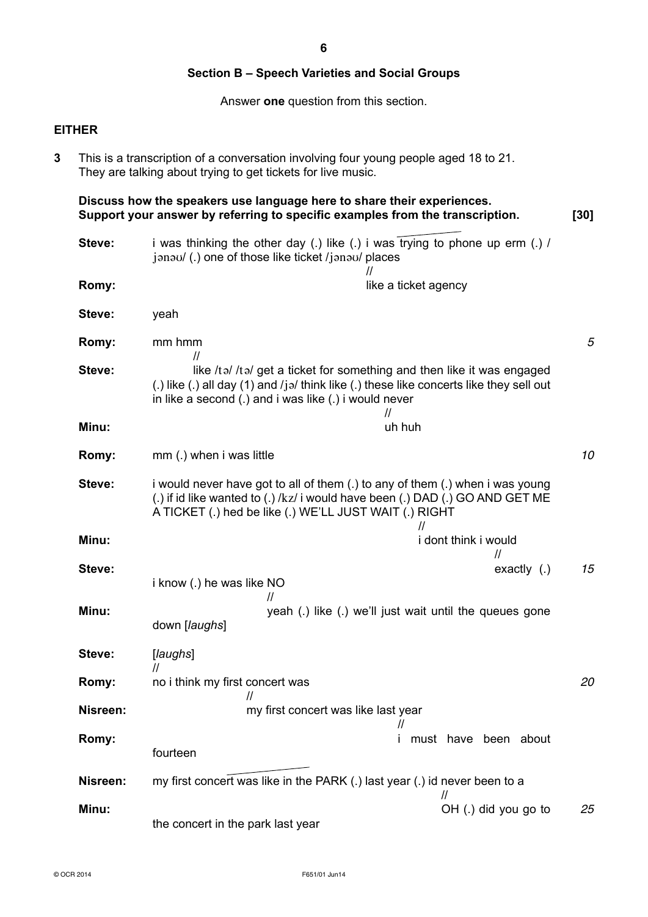#### **Section B – Speech Varieties and Social Groups**

Answer **one** question from this section.

#### **EITHER**

**3** This is a transcription of a conversation involving four young people aged 18 to 21. They are talking about trying to get tickets for live music.

 **Discuss how the speakers use language here to share their experiences. Support your answer by referring to specific examples from the transcription. [30] Steve:** i was thinking the other day (.) like (.) i was trying to phone up erm (.) / jənəυ/ (.) one of those like ticket /jənəυ/ places // **Romy: Romy: Romy:** *Romy: Romy: Romy: Romy: Romy: Romy: Romy: Romy: Romy: ROMY: ROMY: ROMY: ROMY: ROMY: ROMY: ROMY: ROMY: ROMY: ROMY: ROMY:* **Steve:** yeah **Romy:** mm hmm // **Steve:** like /tə/ /tə/ get a ticket for something and then like it was engaged (.) like (.) all day (1) and /jə/ think like (.) these like concerts like they sell out in like a second (.) and i was like (.) i would never // **Minu:** uh huh **Romy:** mm (.) when i was little **Steve:** i would never have got to all of them (.) to any of them (.) when i was young (.) if id like wanted to (.) /kz/ i would have been (.) DAD (.) GO AND GET ME A TICKET (.) hed be like (.) WE'LL JUST WAIT (.) RIGHT // **Minu: Minu: i** dont think i would // **Steve:** exactly (.) i know (.) he was like NO // **Minu: Winds Winds Weller Winds Winds Minu: Winds Winds Winds Winds Winds Winds Winds Winds Winds Winds Winds Winds Winds Winds Winds Winds Winds Winds Winds Winds Wind** down [*laughs*] **Steve:** [*laughs*] // **Romy:** no i think my first concert was // **Nisreen:** my first concert was like last year // **Romy: Romy: i** must have been about fourteen **Nisreen:** my first concert was like in the PARK (.) last year (.) id never been to a // **Minu:** OH (.) did you go to the concert in the park last year *5 10 15 20 25*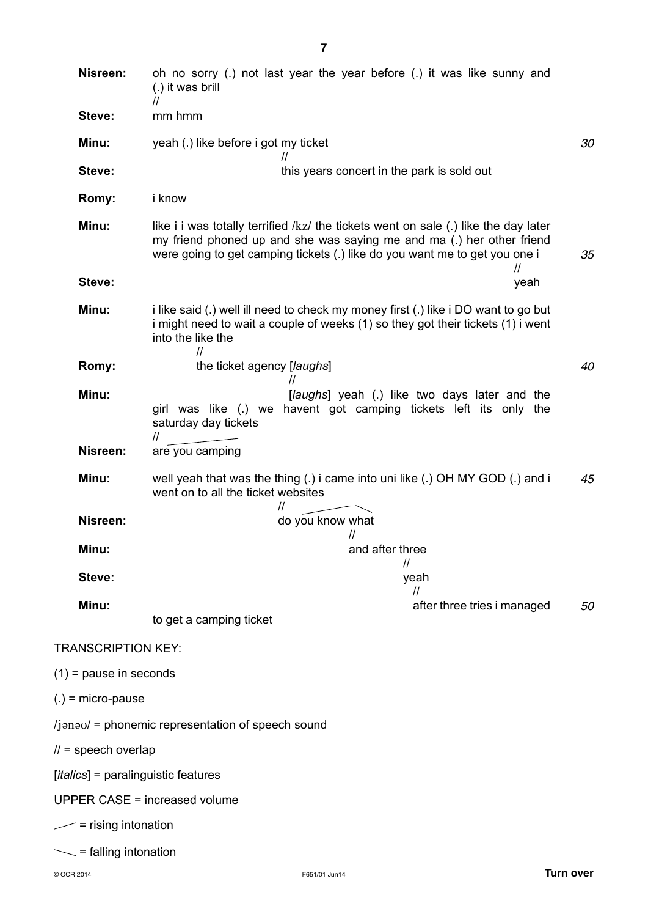| Nisreen:                                     | oh no sorry (.) not last year the year before (.) it was like sunny and<br>(.) it was brill<br>$\mathcal{U}$                                                                                                                                                    |    |
|----------------------------------------------|-----------------------------------------------------------------------------------------------------------------------------------------------------------------------------------------------------------------------------------------------------------------|----|
| Steve:                                       | mm hmm                                                                                                                                                                                                                                                          |    |
| Minu:                                        | yeah (.) like before i got my ticket                                                                                                                                                                                                                            | 30 |
| Steve:                                       | $^{\prime\prime}$<br>this years concert in the park is sold out                                                                                                                                                                                                 |    |
| Romy:                                        | i know                                                                                                                                                                                                                                                          |    |
| Minu:                                        | like i i was totally terrified /kz/ the tickets went on sale (.) like the day later<br>my friend phoned up and she was saying me and ma (.) her other friend<br>were going to get camping tickets (.) like do you want me to get you one i<br>$^{\prime\prime}$ | 35 |
| Steve:                                       | yeah                                                                                                                                                                                                                                                            |    |
| Minu:                                        | i like said (.) well ill need to check my money first (.) like i DO want to go but<br>i might need to wait a couple of weeks (1) so they got their tickets (1) i went<br>into the like the<br>$\mathcal{U}$                                                     |    |
| Romy:                                        | the ticket agency [laughs]                                                                                                                                                                                                                                      | 40 |
| Minu:                                        | 11<br>[laughs] yeah (.) like two days later and the<br>girl was like (.) we havent got camping tickets left its only the<br>saturday day tickets<br>$^{\prime\prime}$                                                                                           |    |
| Nisreen:                                     | are you camping                                                                                                                                                                                                                                                 |    |
| Minu:                                        | well yeah that was the thing (.) i came into uni like (.) OH MY GOD (.) and i<br>went on to all the ticket websites<br>$\prime\prime$                                                                                                                           | 45 |
| Nisreen:                                     | do you know what                                                                                                                                                                                                                                                |    |
| Minu:                                        | $^{\prime\prime}$<br>and after three                                                                                                                                                                                                                            |    |
| Steve:                                       | $\mathcal{U}$<br>yeah                                                                                                                                                                                                                                           |    |
| Minu:                                        | $\prime\prime$<br>after three tries i managed                                                                                                                                                                                                                   | 50 |
|                                              | to get a camping ticket                                                                                                                                                                                                                                         |    |
| <b>TRANSCRIPTION KEY:</b>                    |                                                                                                                                                                                                                                                                 |    |
| $(1)$ = pause in seconds                     |                                                                                                                                                                                                                                                                 |    |
| $(.) = micro-pause$                          |                                                                                                                                                                                                                                                                 |    |
|                                              | $/j$ <sub>j</sub> $j$ <sub>s</sub> $j$ = phonemic representation of speech sound                                                                                                                                                                                |    |
| $\frac{1}{2}$ = speech overlap               |                                                                                                                                                                                                                                                                 |    |
| [ <i>italics</i> ] = paralinguistic features |                                                                                                                                                                                                                                                                 |    |
|                                              | <b>UPPER CASE = increased volume</b>                                                                                                                                                                                                                            |    |
| $\angle$ = rising intonation                 |                                                                                                                                                                                                                                                                 |    |
| $\sim$ = falling intonation                  |                                                                                                                                                                                                                                                                 |    |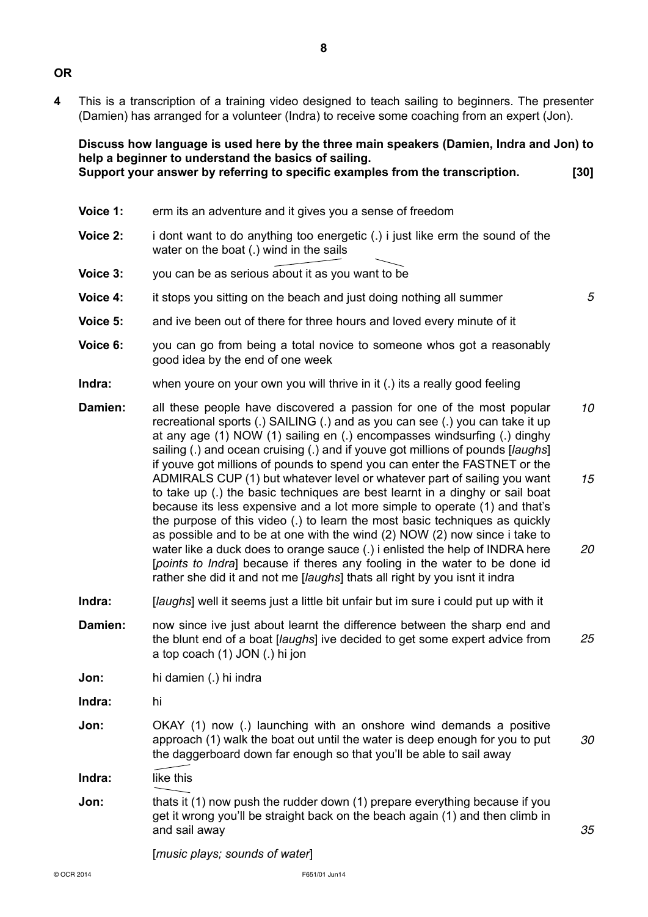- **OR**
- **4** This is a transcription of a training video designed to teach sailing to beginners. The presenter (Damien) has arranged for a volunteer (Indra) to receive some coaching from an expert (Jon).

**8**

 **Discuss how language is used here by the three main speakers (Damien, Indra and Jon) to help a beginner to understand the basics of sailing. Support your answer by referring to specific examples from the transcription. [30]**

- **Voice 1:** erm its an adventure and it gives you a sense of freedom
- **Voice 2:** i dont want to do anything too energetic (.) i just like erm the sound of the water on the boat (.) wind in the sails
- **Voice 3:** you can be as serious about it as you want to be
- **Voice 4:** it stops you sitting on the beach and just doing nothing all summer
- **Voice 5:** and ive been out of there for three hours and loved every minute of it
- **Voice 6:** you can go from being a total novice to someone whos got a reasonably good idea by the end of one week
- **Indra:** when youre on your own you will thrive in it (.) its a really good feeling

**Damien:** all these people have discovered a passion for one of the most popular recreational sports (.) SAILING (.) and as you can see (.) you can take it up at any age (1) NOW (1) sailing en (.) encompasses windsurfing (.) dinghy sailing (.) and ocean cruising (.) and if youve got millions of pounds [*laughs*] if youve got millions of pounds to spend you can enter the FASTNET or the ADMIRALS CUP (1) but whatever level or whatever part of sailing you want to take up (.) the basic techniques are best learnt in a dinghy or sail boat because its less expensive and a lot more simple to operate (1) and that's the purpose of this video (.) to learn the most basic techniques as quickly as possible and to be at one with the wind (2) NOW (2) now since i take to water like a duck does to orange sauce (.) i enlisted the help of INDRA here [*points to Indra*] because if theres any fooling in the water to be done id rather she did it and not me [*laughs*] thats all right by you isnt it indra *10 15 20*

- **Indra:** [*laughs*] well it seems just a little bit unfair but im sure i could put up with it
- **Damien:** now since ive just about learnt the difference between the sharp end and the blunt end of a boat [*laughs*] ive decided to get some expert advice from a top coach (1) JON (.) hi jon *25*

**Jon:** hi damien (.) hi indra

**Indra:** hi

**Jon:** OKAY (1) now (.) launching with an onshore wind demands a positive approach (1) walk the boat out until the water is deep enough for you to put the daggerboard down far enough so that you'll be able to sail away *30*

**Indra:** like this

**Jon:** thats it (1) now push the rudder down (1) prepare everything because if you get it wrong you'll be straight back on the beach again (1) and then climb in and sail away

[*music plays; sounds of water*]

*35*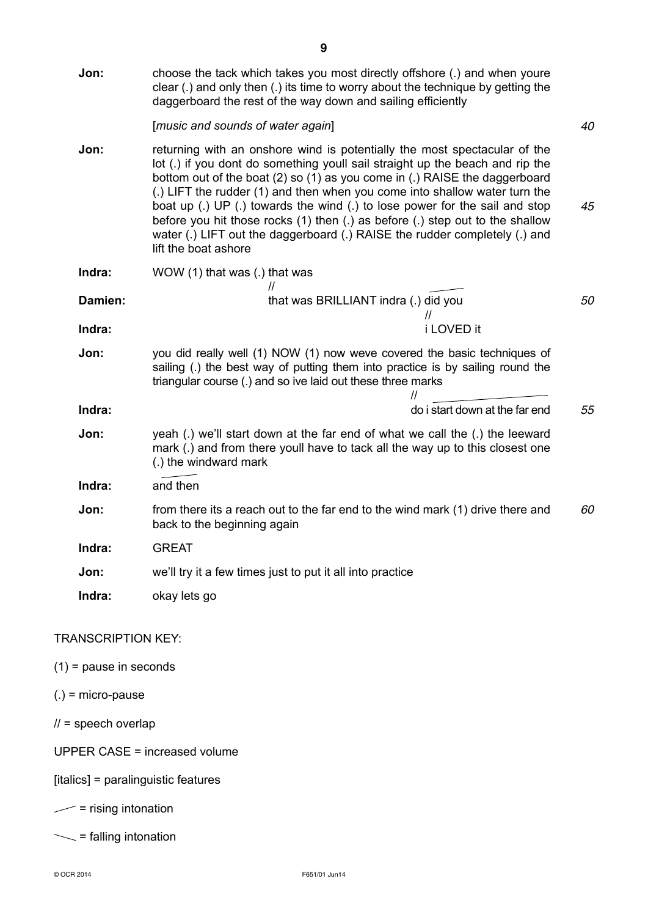| choose the tack which takes you most directly offshore (.) and when youre<br>clear (.) and only then (.) its time to worry about the technique by getting the<br>daggerboard the rest of the way down and sailing efficiently                                                                                                                                                                                                                                                                                                                                                                |                  |
|----------------------------------------------------------------------------------------------------------------------------------------------------------------------------------------------------------------------------------------------------------------------------------------------------------------------------------------------------------------------------------------------------------------------------------------------------------------------------------------------------------------------------------------------------------------------------------------------|------------------|
| [music and sounds of water again]                                                                                                                                                                                                                                                                                                                                                                                                                                                                                                                                                            | 40               |
| returning with an onshore wind is potentially the most spectacular of the<br>lot (.) if you dont do something youll sail straight up the beach and rip the<br>bottom out of the boat (2) so (1) as you come in (.) RAISE the daggerboard<br>(.) LIFT the rudder (1) and then when you come into shallow water turn the<br>boat up (.) UP (.) towards the wind (.) to lose power for the sail and stop<br>before you hit those rocks (1) then (.) as before (.) step out to the shallow<br>water (.) LIFT out the daggerboard (.) RAISE the rudder completely (.) and<br>lift the boat ashore | 45               |
| WOW (1) that was (.) that was                                                                                                                                                                                                                                                                                                                                                                                                                                                                                                                                                                |                  |
| that was BRILLIANT indra (.) did you<br>11                                                                                                                                                                                                                                                                                                                                                                                                                                                                                                                                                   | 50               |
|                                                                                                                                                                                                                                                                                                                                                                                                                                                                                                                                                                                              |                  |
| you did really well (1) NOW (1) now weve covered the basic techniques of<br>sailing (.) the best way of putting them into practice is by sailing round the<br>triangular course (.) and so ive laid out these three marks                                                                                                                                                                                                                                                                                                                                                                    |                  |
| do i start down at the far end                                                                                                                                                                                                                                                                                                                                                                                                                                                                                                                                                               | 55               |
| yeah (.) we'll start down at the far end of what we call the (.) the leeward<br>mark (.) and from there youll have to tack all the way up to this closest one<br>(.) the windward mark                                                                                                                                                                                                                                                                                                                                                                                                       |                  |
| and then                                                                                                                                                                                                                                                                                                                                                                                                                                                                                                                                                                                     |                  |
| from there its a reach out to the far end to the wind mark (1) drive there and<br>back to the beginning again                                                                                                                                                                                                                                                                                                                                                                                                                                                                                | 60               |
| <b>GREAT</b>                                                                                                                                                                                                                                                                                                                                                                                                                                                                                                                                                                                 |                  |
| we'll try it a few times just to put it all into practice                                                                                                                                                                                                                                                                                                                                                                                                                                                                                                                                    |                  |
| okay lets go                                                                                                                                                                                                                                                                                                                                                                                                                                                                                                                                                                                 |                  |
| <b>TRANSCRIPTION KEY:</b>                                                                                                                                                                                                                                                                                                                                                                                                                                                                                                                                                                    |                  |
| $(1)$ = pause in seconds                                                                                                                                                                                                                                                                                                                                                                                                                                                                                                                                                                     |                  |
| $(.) = micro-pause$                                                                                                                                                                                                                                                                                                                                                                                                                                                                                                                                                                          |                  |
|                                                                                                                                                                                                                                                                                                                                                                                                                                                                                                                                                                                              | i LOVED it<br>11 |

 $11$  = speech overlap

UPPER CASE = increased volume

[italics] = paralinguistic features

 $\angle$  = rising intonation

= falling intonation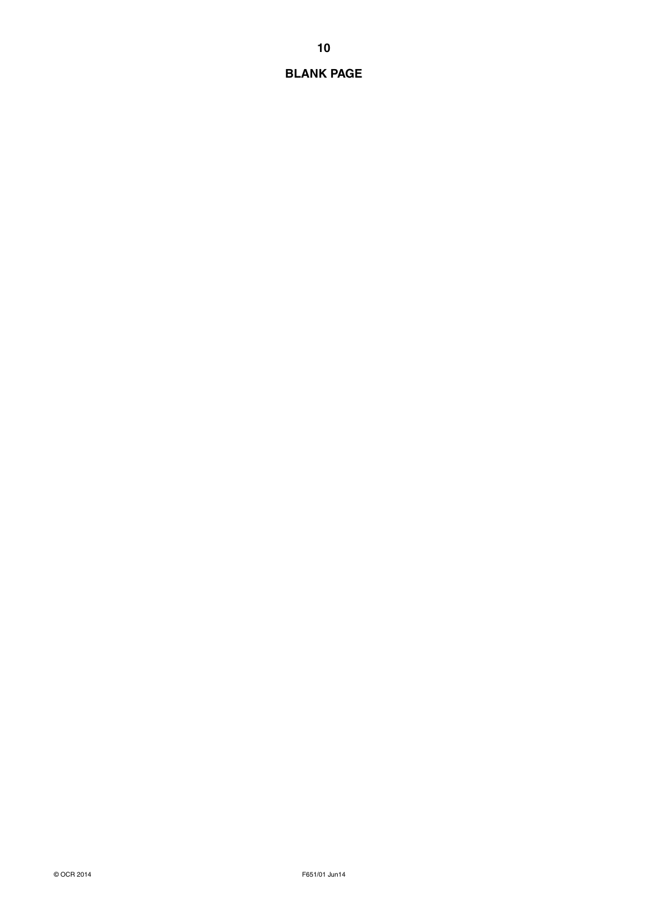### **BLANK PAGE**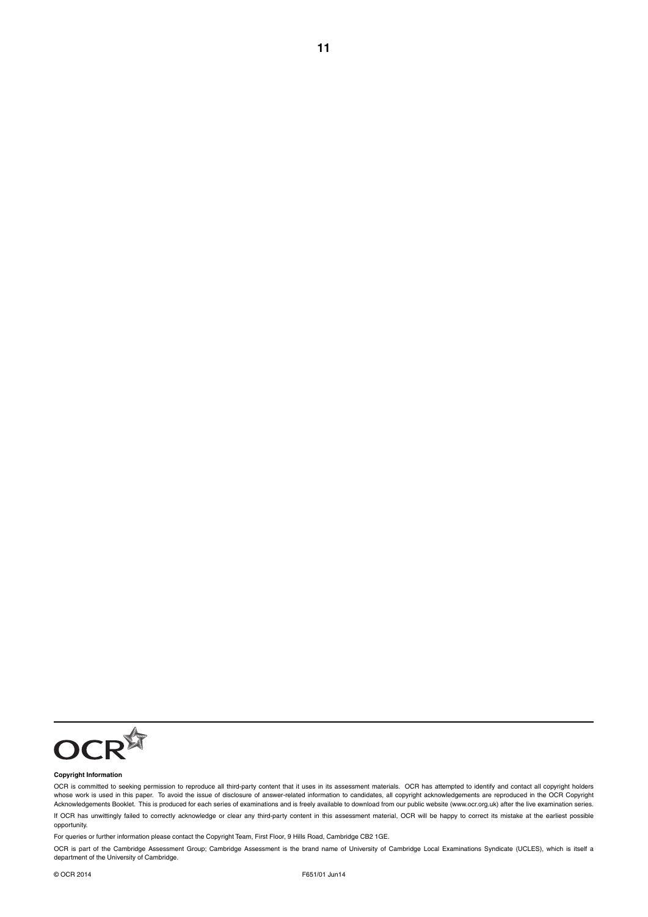

#### **Copyright Information**

OCR is committed to seeking permission to reproduce all third-party content that it uses in its assessment materials. OCR has attempted to identify and contact all copyright holders whose work is used in this paper. To avoid the issue of disclosure of answer-related information to candidates, all copyright acknowledgements are reproduced in the OCR Copyright Acknowledgements Booklet. This is produced for each series of examinations and is freely available to download from our public website (www.ocr.org.uk) after the live examination series. If OCR has unwittingly failed to correctly acknowledge or clear any third-party content in this assessment material, OCR will be happy to correct its mistake at the earliest possible opportunity.

**11**

For queries or further information please contact the Copyright Team, First Floor, 9 Hills Road, Cambridge CB2 1GE.

OCR is part of the Cambridge Assessment Group; Cambridge Assessment is the brand name of University of Cambridge Local Examinations Syndicate (UCLES), which is itself a department of the University of Cambridge.